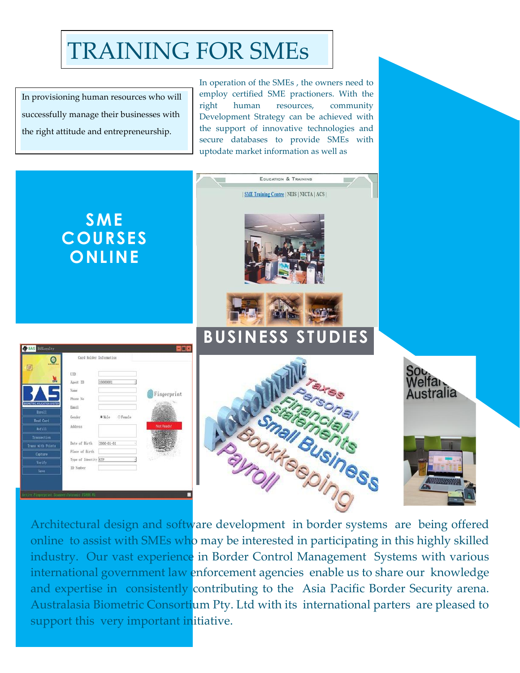## TRAINING FOR SMEs

In provisioning human resources who will successfully manage their businesses with the right attitude and entrepreneurship.

In operation of the SMEs , the owners need to employ certified SME practioners. With the right human resources, community Development Strategy can be achieved with the support of innovative technologies and secure databases to provide SMEs with uptodate market information as well as



Architectural design and software development in border systems are being offered online to assist with SMEs who may be interested in participating in this highly skilled industry. Our vast experience in Border Control Management Systems with various international government law enforcement agencies enable us to share our knowledge and expertise in consistently contributing to the Asia Pacific Border Security arena. Australasia Biometric Consortium Pty. Ltd with its international parters are pleased to support this very important initiative.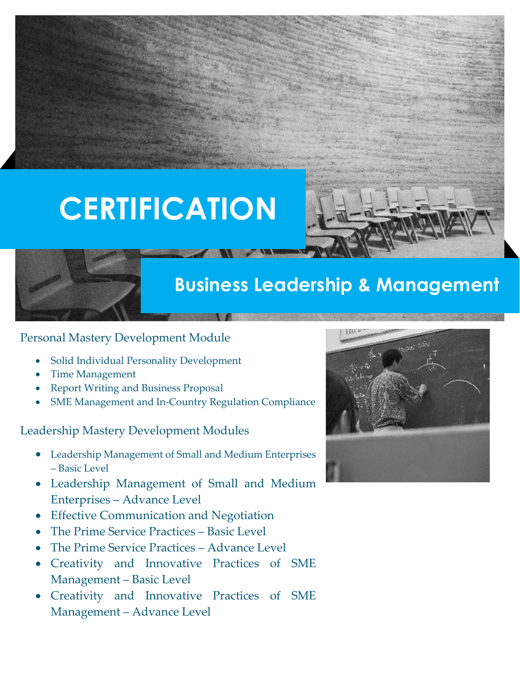# **CERTIFICATION**



## **Business Leadership & Management**

### Personal Mastery Development Module

- Solid Individual Personality Development
- Time Management
- Report Writing and Business Proposal
- SME Management and In-Country Regulation Compliance

### Leadership Mastery Development Modules

- Leadership Management of Small and Medium Enterprises – Basic Level
- Leadership Management of Small and Medium Enterprises – Advance Level
- **Effective Communication and Negotiation**
- The Prime Service Practices Basic Level
- The Prime Service Practices Advance Level
- Creativity and Innovative Practices of SME Management – Basic Level
- Creativity and Innovative Practices of SME Management – Advance Level

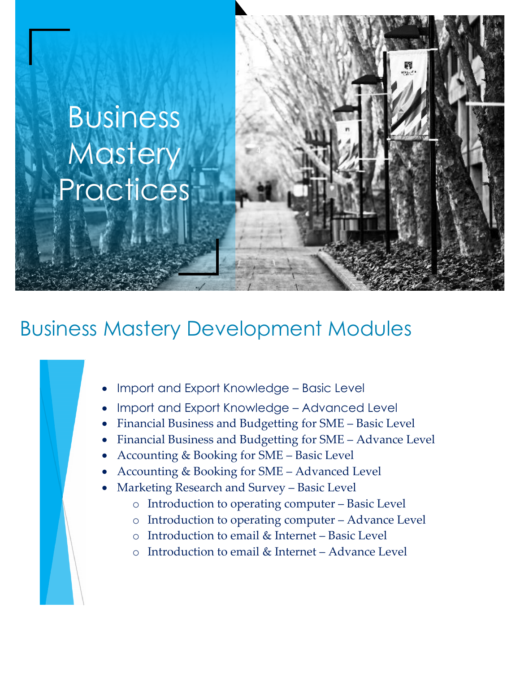# Business **Mastery Practices**

## Business Mastery Development Modules

- Import and Export Knowledge Basic Level
- Import and Export Knowledge Advanced Level
- Financial Business and Budgetting for SME Basic Level
- Financial Business and Budgetting for SME Advance Level
- Accounting & Booking for SME Basic Level
- Accounting & Booking for SME Advanced Level
- Marketing Research and Survey Basic Level
	- o Introduction to operating computer Basic Level
	- o Introduction to operating computer Advance Level
	- o Introduction to email & Internet Basic Level
	- o Introduction to email & Internet Advance Level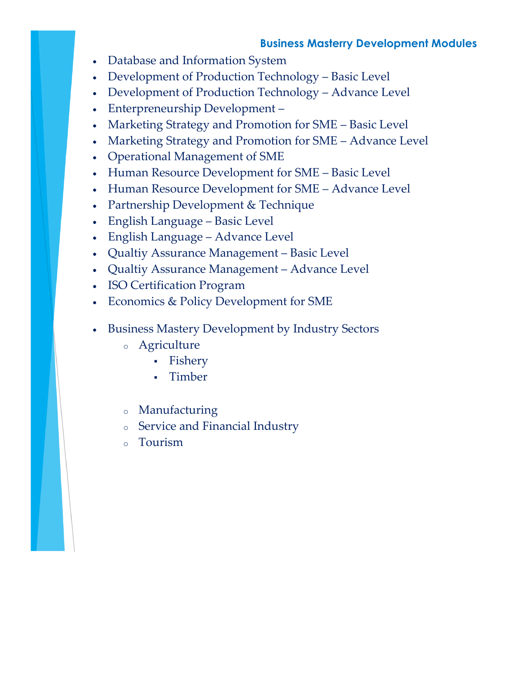### **Business Masterry Development Modules**

- Database and Information System
- Development of Production Technology Basic Level
- Development of Production Technology Advance Level
- Enterpreneurship Development –
- Marketing Strategy and Promotion for SME Basic Level
- Marketing Strategy and Promotion for SME Advance Level
- Operational Management of SME
- Human Resource Development for SME Basic Level
- Human Resource Development for SME Advance Level
- Partnership Development & Technique
- English Language Basic Level
- English Language Advance Level
- Qualtiy Assurance Management Basic Level
- Qualtiy Assurance Management Advance Level
- ISO Certification Program
- Economics & Policy Development for SME
- Business Mastery Development by Industry Sectors
	- o Agriculture
		- **·** Fishery
		- **Timber**
	- o Manufacturing
	- o Service and Financial Industry
	- o Tourism